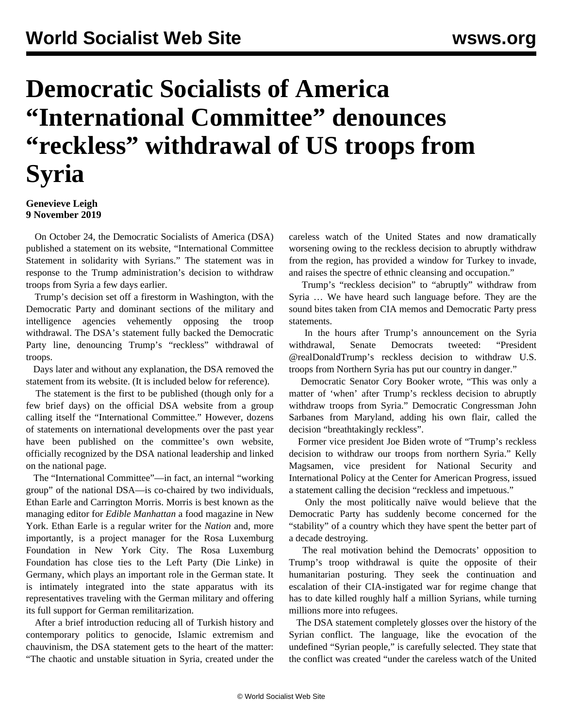## **Democratic Socialists of America "International Committee" denounces "reckless" withdrawal of US troops from Syria**

## **Genevieve Leigh 9 November 2019**

 On October 24, the Democratic Socialists of America (DSA) published a statement on its website, "International Committee Statement in solidarity with Syrians." The statement was in response to the Trump administration's decision to withdraw troops from Syria a few days earlier.

 Trump's decision set off a firestorm in Washington, with the Democratic Party and dominant sections of the military and intelligence agencies vehemently opposing the troop withdrawal. The DSA's statement fully backed the Democratic Party line, denouncing Trump's "reckless" withdrawal of troops.

 Days later and without any explanation, the DSA removed the statement from its website. (It is included below for reference).

 The statement is the first to be published (though only for a few brief days) on the official DSA website from a group calling itself the "International Committee." However, dozens of statements on international developments over the past year have been published on the committee's own website, officially recognized by the DSA national leadership and linked on the national page.

 The "International Committee"—in fact, an internal "working group" of the national DSA—is co-chaired by two individuals, Ethan Earle and Carrington Morris. Morris is best known as the managing editor for *Edible Manhattan* a food magazine in New York. Ethan Earle is a regular writer for the *Nation* and, more importantly, is a project manager for the Rosa Luxemburg Foundation in New York City. The Rosa Luxemburg Foundation has close ties to the Left Party (Die Linke) in Germany, which plays an important role in the German state. It is intimately integrated into the state apparatus with its representatives traveling with the German military and offering its full support for German remilitarization.

 After a brief introduction reducing all of Turkish history and contemporary politics to genocide, Islamic extremism and chauvinism, the DSA statement gets to the heart of the matter: "The chaotic and unstable situation in Syria, created under the careless watch of the United States and now dramatically worsening owing to the reckless decision to abruptly withdraw from the region, has provided a window for Turkey to invade, and raises the spectre of ethnic cleansing and occupation."

 Trump's "reckless decision" to "abruptly" withdraw from Syria … We have heard such language before. They are the sound bites taken from CIA memos and Democratic Party press statements.

 In the hours after Trump's announcement on the Syria withdrawal, Senate Democrats tweeted: "President @realDonaldTrump's reckless decision to withdraw U.S. troops from Northern Syria has put our country in danger."

 Democratic Senator Cory Booker wrote, "This was only a matter of 'when' after Trump's reckless decision to abruptly withdraw troops from Syria." Democratic Congressman John Sarbanes from Maryland, adding his own flair, called the decision "breathtakingly reckless".

 Former vice president Joe Biden wrote of "Trump's reckless decision to withdraw our troops from northern Syria." [Kelly](https://www.americanprogress.org/about/staff/magsamen-kelly/bio/) [Magsamen](https://www.americanprogress.org/about/staff/magsamen-kelly/bio/), vice president for National Security and International Policy at the Center for American Progress, issued a statement calling the decision "reckless and impetuous."

 Only the most politically naïve would believe that the Democratic Party has suddenly become concerned for the "stability" of a country which they have spent the better part of a decade destroying.

 The real motivation behind the Democrats' opposition to Trump's troop withdrawal is quite the opposite of their humanitarian posturing. They seek the continuation and escalation of their CIA-instigated war for regime change that has to date killed roughly half a million Syrians, while turning millions more into refugees.

 The DSA statement completely glosses over the history of the Syrian conflict. The language, like the evocation of the undefined "Syrian people," is carefully selected. They state that the conflict was created "under the careless watch of the United